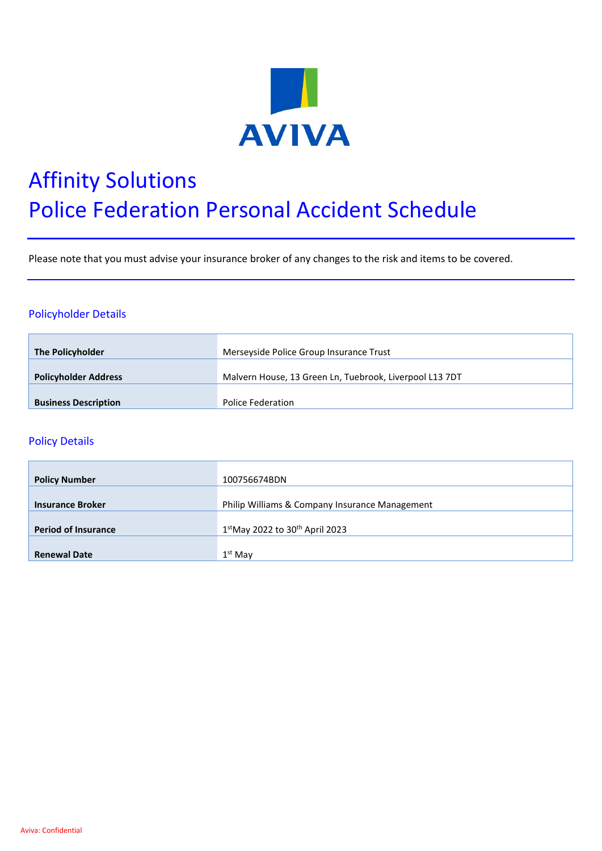

# Affinity Solutions Police Federation Personal Accident Schedule

Please note that you must advise your insurance broker of any changes to the risk and items to be covered.

### Policyholder Details

| <b>The Policyholder</b>     | Merseyside Police Group Insurance Trust                 |
|-----------------------------|---------------------------------------------------------|
| <b>Policyholder Address</b> | Malvern House, 13 Green Ln, Tuebrook, Liverpool L13 7DT |
| <b>Business Description</b> | Police Federation                                       |

#### Policy Details

| <b>Policy Number</b>       | 100756674BDN                                   |
|----------------------------|------------------------------------------------|
|                            |                                                |
| <b>Insurance Broker</b>    | Philip Williams & Company Insurance Management |
|                            |                                                |
| <b>Period of Insurance</b> | 1stMay 2022 to 30th April 2023                 |
|                            |                                                |
| <b>Renewal Date</b>        | $1st$ Mav                                      |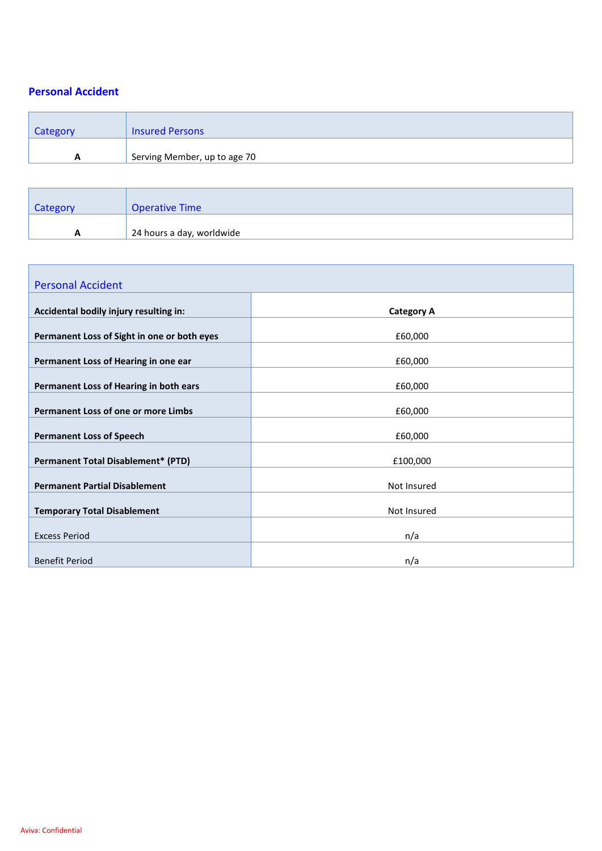## **Personal Accident**

| Category | <b>Insured Persons</b>       |
|----------|------------------------------|
| A        | Serving Member, up to age 70 |
|          |                              |

| Category | <b>Operative Time</b>     |
|----------|---------------------------|
| A        | 24 hours a day, worldwide |

| <b>Personal Accident</b>                    |                   |
|---------------------------------------------|-------------------|
| Accidental bodily injury resulting in:      | <b>Category A</b> |
| Permanent Loss of Sight in one or both eyes | £60,000           |
| Permanent Loss of Hearing in one ear        | £60,000           |
| Permanent Loss of Hearing in both ears      | £60,000           |
| Permanent Loss of one or more Limbs         | £60,000           |
| <b>Permanent Loss of Speech</b>             | £60,000           |
| <b>Permanent Total Disablement* (PTD)</b>   | £100,000          |
| <b>Permanent Partial Disablement</b>        | Not Insured       |
| <b>Temporary Total Disablement</b>          | Not Insured       |
| <b>Excess Period</b>                        | n/a               |
| <b>Benefit Period</b>                       | n/a               |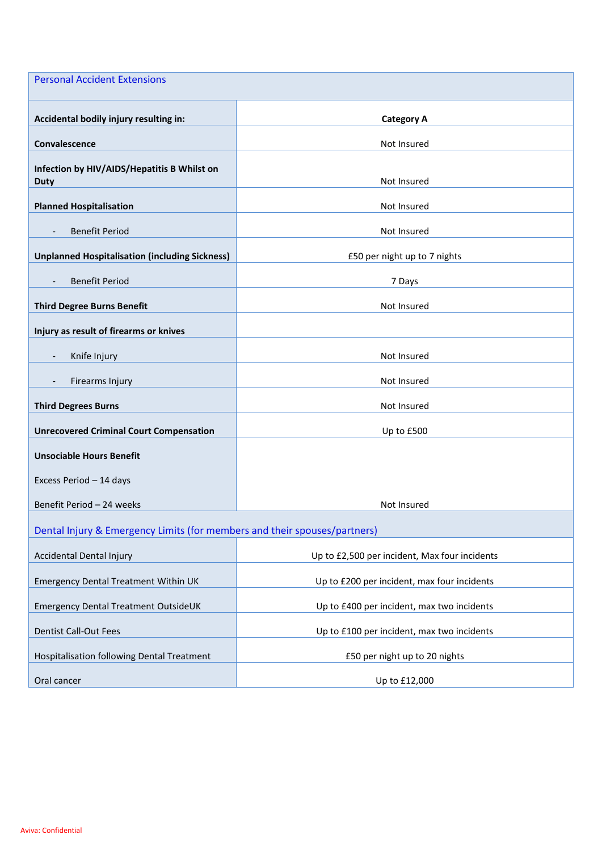| <b>Personal Accident Extensions</b>                                       |                                               |
|---------------------------------------------------------------------------|-----------------------------------------------|
| Accidental bodily injury resulting in:                                    | <b>Category A</b>                             |
| Convalescence                                                             | Not Insured                                   |
| Infection by HIV/AIDS/Hepatitis B Whilst on                               |                                               |
| <b>Duty</b>                                                               | Not Insured                                   |
| <b>Planned Hospitalisation</b>                                            | Not Insured                                   |
| <b>Benefit Period</b><br>$\overline{\phantom{a}}$                         | Not Insured                                   |
| <b>Unplanned Hospitalisation (including Sickness)</b>                     | £50 per night up to 7 nights                  |
| <b>Benefit Period</b>                                                     | 7 Days                                        |
| <b>Third Degree Burns Benefit</b>                                         | Not Insured                                   |
| Injury as result of firearms or knives                                    |                                               |
| Knife Injury                                                              | Not Insured                                   |
|                                                                           |                                               |
| Firearms Injury                                                           | Not Insured                                   |
| <b>Third Degrees Burns</b>                                                | Not Insured                                   |
| <b>Unrecovered Criminal Court Compensation</b>                            | Up to £500                                    |
| <b>Unsociable Hours Benefit</b>                                           |                                               |
| Excess Period - 14 days                                                   |                                               |
| Benefit Period - 24 weeks                                                 | Not Insured                                   |
| Dental Injury & Emergency Limits (for members and their spouses/partners) |                                               |
| Accidental Dental Injury                                                  | Up to £2,500 per incident, Max four incidents |
| <b>Emergency Dental Treatment Within UK</b>                               | Up to £200 per incident, max four incidents   |
| Emergency Dental Treatment OutsideUK                                      | Up to £400 per incident, max two incidents    |
| <b>Dentist Call-Out Fees</b>                                              | Up to £100 per incident, max two incidents    |
| Hospitalisation following Dental Treatment                                | £50 per night up to 20 nights                 |
| Oral cancer                                                               | Up to £12,000                                 |